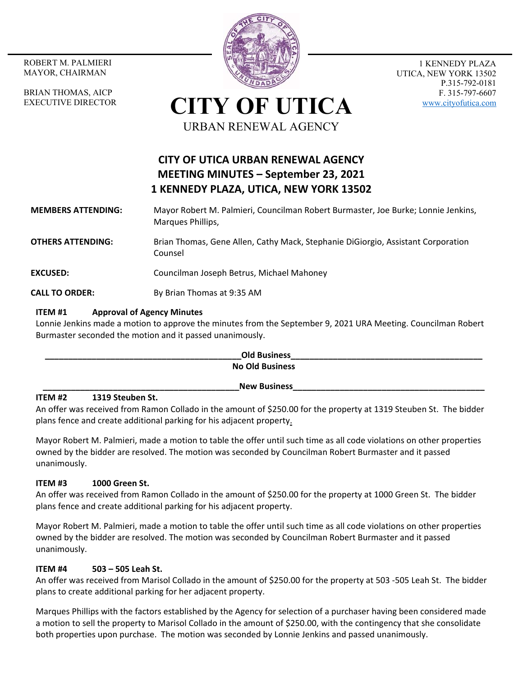MAYOR, CHAIRMAN

BRIAN THOMAS, AICP EXECUTIVE DIRECTOR



1 KENNEDY PLAZA UTICA, NEW YORK 13502 P.315-792-0181 F. 315-797-6607 www.cityofutica.com

# **CITY OF UTICA** URBAN RENEWAL AGENCY

# **CITY OF UTICA URBAN RENEWAL AGENCY MEETING MINUTES – September 23, 2021 1 KENNEDY PLAZA, UTICA, NEW YORK 13502**

# **MEMBERS ATTENDING:**  Mayor Robert M. Palmieri, Councilman Robert Burmaster, Joe Burke; Lonnie Jenkins, Marques Phillips,

**OTHERS ATTENDING:** Brian Thomas, Gene Allen, Cathy Mack, Stephanie DiGiorgio, Assistant Corporation Counsel

# **EXCUSED:** Councilman Joseph Betrus, Michael Mahoney

**CALL TO ORDER:** By Brian Thomas at 9:35 AM

# **ITEM #1 Approval of Agency Minutes**

Lonnie Jenkins made a motion to approve the minutes from the September 9, 2021 URA Meeting. Councilman Robert Burmaster seconded the motion and it passed unanimously.

**\_\_\_\_\_\_\_\_\_\_\_\_\_\_\_\_\_\_\_\_\_\_\_\_\_\_\_\_\_\_\_\_\_\_\_\_\_\_\_\_\_\_Old Business\_\_\_\_\_\_\_\_\_\_\_\_\_\_\_\_\_\_\_\_\_\_\_\_\_\_\_\_\_\_\_\_\_\_\_\_\_\_\_\_\_ No Old Business New Business** 

## **ITEM #2 1319 Steuben St.**

An offer was received from Ramon Collado in the amount of \$250.00 for the property at 1319 Steuben St. The bidder plans fence and create additional parking for his adjacent property.

Mayor Robert M. Palmieri, made a motion to table the offer until such time as all code violations on other properties owned by the bidder are resolved. The motion was seconded by Councilman Robert Burmaster and it passed unanimously.

# **ITEM #3 1000 Green St.**

An offer was received from Ramon Collado in the amount of \$250.00 for the property at 1000 Green St. The bidder plans fence and create additional parking for his adjacent property.

Mayor Robert M. Palmieri, made a motion to table the offer until such time as all code violations on other properties owned by the bidder are resolved. The motion was seconded by Councilman Robert Burmaster and it passed unanimously.

# **ITEM #4 503 – 505 Leah St.**

An offer was received from Marisol Collado in the amount of \$250.00 for the property at 503 ‐505 Leah St. The bidder plans to create additional parking for her adjacent property.

Marques Phillips with the factors established by the Agency for selection of a purchaser having been considered made a motion to sell the property to Marisol Collado in the amount of \$250.00, with the contingency that she consolidate both properties upon purchase. The motion was seconded by Lonnie Jenkins and passed unanimously.